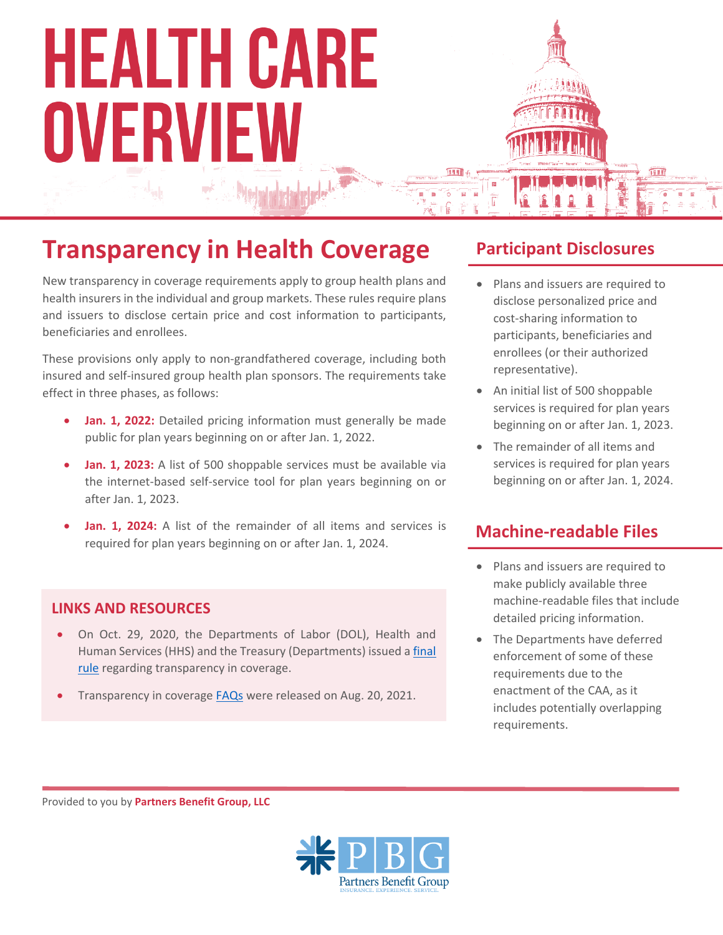# **HEALTH CARE** OVERVIEW

### **Transparency in Health Coverage**

New transparency in coverage requirements apply to group health plans and health insurers in the individual and group markets. These rules require plans and issuers to disclose certain price and cost information to participants, beneficiaries and enrollees.

These provisions only apply to non-grandfathered coverage, including both insured and self-insured group health plan sponsors. The requirements take effect in three phases, as follows:

- **Jan. 1, 2022:** Detailed pricing information must generally be made public for plan years beginning on or after Jan. 1, 2022.
- **Jan. 1, 2023:** A list of 500 shoppable services must be available via the internet-based self-service tool for plan years beginning on or after Jan. 1, 2023.
- **Jan. 1, 2024:** A list of the remainder of all items and services is required for plan years beginning on or after Jan. 1, 2024.

#### **LINKS AND RESOURCES**

- On Oct. 29, 2020, the Departments of Labor (DOL), Health and Human Services (HHS) and the Treasury (Departments) issued a final rule regarding transparency in coverage.
- Transparency in coverage FAQs were released on Aug. 20, 2021.

#### **Participant Disclosures**

- Plans and issuers are required to disclose personalized price and cost-sharing information to participants, beneficiaries and enrollees (or their authorized representative).
- An initial list of 500 shoppable services is required for plan years beginning on or after Jan. 1, 2023.
- The remainder of all items and services is required for plan years beginning on or after Jan. 1, 2024.

#### **Machine-readable Files**

- Plans and issuers are required to make publicly available three machine-readable files that include detailed pricing information.
- The Departments have deferred enforcement of some of these requirements due to the enactment of the CAA, as it includes potentially overlapping requirements.

Provided to you by **Partners Benefit Group, LLC**

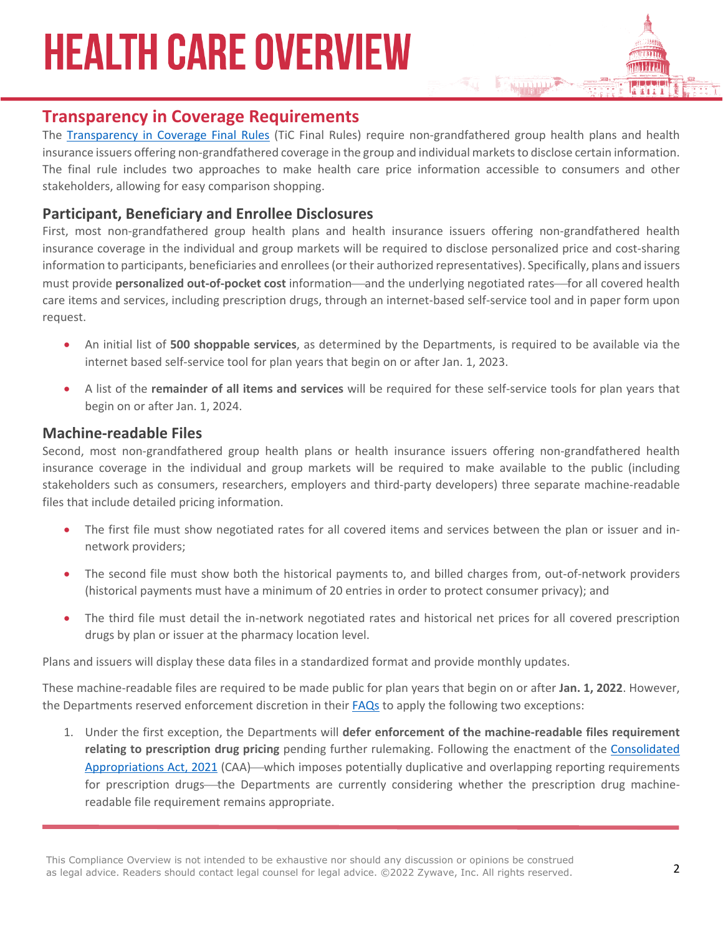### **HEALTH CARE OVERVIEW**

#### **Transparency in Coverage Requirements**

The Transparency in Coverage Final Rules (TiC Final Rules) require non-grandfathered group health plans and health insurance issuers offering non-grandfathered coverage in the group and individual markets to disclose certain information. The final rule includes two approaches to make health care price information accessible to consumers and other stakeholders, allowing for easy comparison shopping.

#### **Participant, Beneficiary and Enrollee Disclosures**

First, most non-grandfathered group health plans and health insurance issuers offering non-grandfathered health insurance coverage in the individual and group markets will be required to disclose personalized price and cost-sharing information to participants, beneficiaries and enrollees (or their authorized representatives). Specifically, plans and issuers must provide **personalized out-of-pocket cost** information—and the underlying negotiated rates—for all covered health care items and services, including prescription drugs, through an internet-based self-service tool and in paper form upon request.

- An initial list of **500 shoppable services**, as determined by the Departments, is required to be available via the internet based self-service tool for plan years that begin on or after Jan. 1, 2023.
- A list of the **remainder of all items and services** will be required for these self-service tools for plan years that begin on or after Jan. 1, 2024.

#### **Machine-readable Files**

Second, most non-grandfathered group health plans or health insurance issuers offering non-grandfathered health insurance coverage in the individual and group markets will be required to make available to the public (including stakeholders such as consumers, researchers, employers and third-party developers) three separate machine-readable files that include detailed pricing information.

- The first file must show negotiated rates for all covered items and services between the plan or issuer and innetwork providers;
- The second file must show both the historical payments to, and billed charges from, out-of-network providers (historical payments must have a minimum of 20 entries in order to protect consumer privacy); and
- The third file must detail the in-network negotiated rates and historical net prices for all covered prescription drugs by plan or issuer at the pharmacy location level.

Plans and issuers will display these data files in a standardized format and provide monthly updates.

These machine-readable files are required to be made public for plan years that begin on or after **Jan. 1, 2022**. However, the Departments reserved enforcement discretion in their FAQs to apply the following two exceptions:

1. Under the first exception, the Departments will **defer enforcement of the machine-readable files requirement relating to prescription drug pricing** pending further rulemaking. Following the enactment of the Consolidated Appropriations Act, 2021 (CAA)—which imposes potentially duplicative and overlapping reporting requirements for prescription drugs—the Departments are currently considering whether the prescription drug machinereadable file requirement remains appropriate.